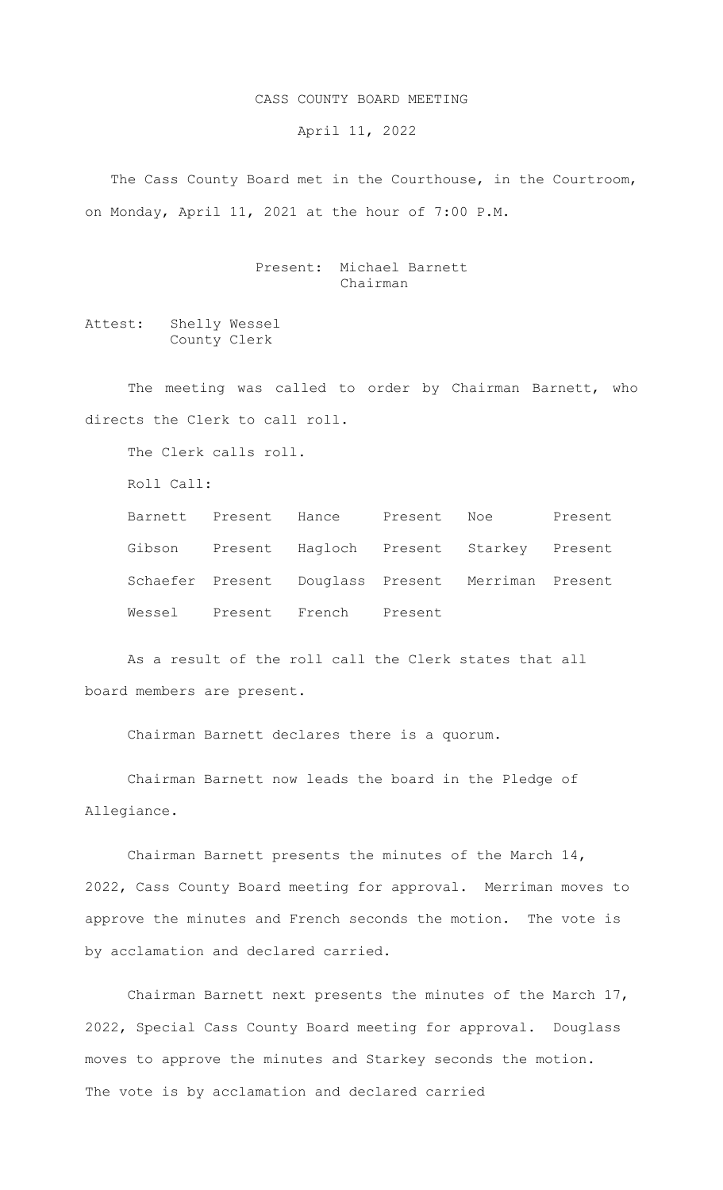## CASS COUNTY BOARD MEETING

April 11, 2022

The Cass County Board met in the Courthouse, in the Courtroom, on Monday, April 11, 2021 at the hour of 7:00 P.M.

> Present: Michael Barnett Chairman

Attest: Shelly Wessel County Clerk

The meeting was called to order by Chairman Barnett, who directs the Clerk to call roll.

The Clerk calls roll.

Roll Call:

|  |                               | Barnett Present Hance Present Noe                  | Present |
|--|-------------------------------|----------------------------------------------------|---------|
|  |                               | Gibson Present Hagloch Present Starkey Present     |         |
|  |                               | Schaefer Present Douglass Present Merriman Present |         |
|  | Wessel Present French Present |                                                    |         |

As a result of the roll call the Clerk states that all board members are present.

Chairman Barnett declares there is a quorum.

Chairman Barnett now leads the board in the Pledge of Allegiance.

Chairman Barnett presents the minutes of the March 14, 2022, Cass County Board meeting for approval. Merriman moves to approve the minutes and French seconds the motion. The vote is by acclamation and declared carried.

Chairman Barnett next presents the minutes of the March 17, 2022, Special Cass County Board meeting for approval. Douglass moves to approve the minutes and Starkey seconds the motion. The vote is by acclamation and declared carried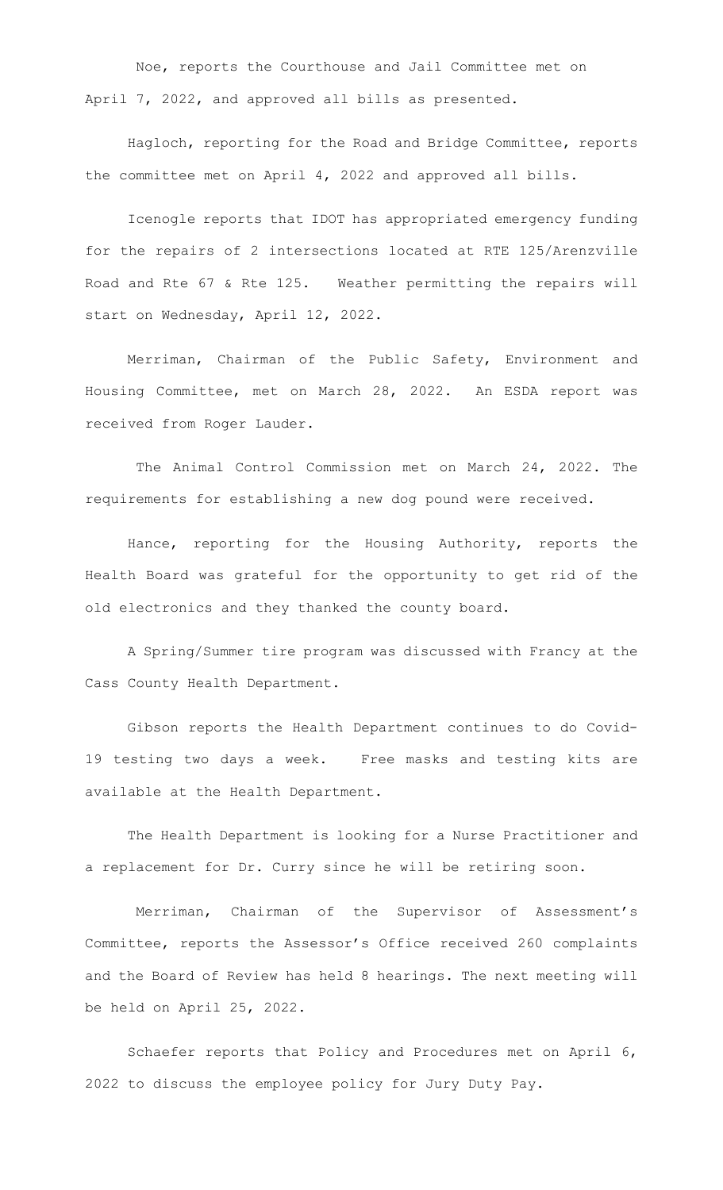Noe, reports the Courthouse and Jail Committee met on April 7, 2022, and approved all bills as presented.

Hagloch, reporting for the Road and Bridge Committee, reports the committee met on April 4, 2022 and approved all bills.

Icenogle reports that IDOT has appropriated emergency funding for the repairs of 2 intersections located at RTE 125/Arenzville Road and Rte 67 & Rte 125. Weather permitting the repairs will start on Wednesday, April 12, 2022.

Merriman, Chairman of the Public Safety, Environment and Housing Committee, met on March 28, 2022. An ESDA report was received from Roger Lauder.

 The Animal Control Commission met on March 24, 2022. The requirements for establishing a new dog pound were received.

Hance, reporting for the Housing Authority, reports the Health Board was grateful for the opportunity to get rid of the old electronics and they thanked the county board.

A Spring/Summer tire program was discussed with Francy at the Cass County Health Department.

Gibson reports the Health Department continues to do Covid-19 testing two days a week. Free masks and testing kits are available at the Health Department.

The Health Department is looking for a Nurse Practitioner and a replacement for Dr. Curry since he will be retiring soon.

 Merriman, Chairman of the Supervisor of Assessment's Committee, reports the Assessor's Office received 260 complaints and the Board of Review has held 8 hearings. The next meeting will be held on April 25, 2022.

Schaefer reports that Policy and Procedures met on April 6, 2022 to discuss the employee policy for Jury Duty Pay.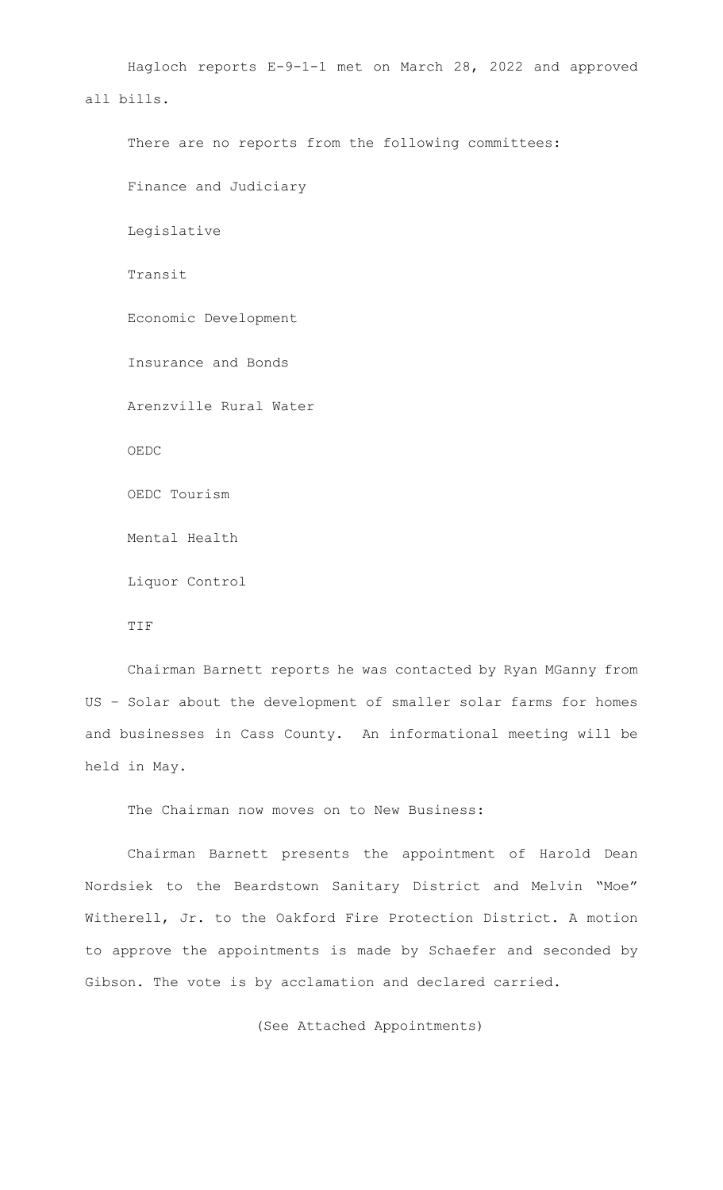Hagloch reports E-9-1-1 met on March 28, 2022 and approved all bills. There are no reports from the following committees: Finance and Judiciary Legislative Transit Economic Development

Insurance and Bonds

Arenzville Rural Water

OEDC

OEDC Tourism

Mental Health

Liquor Control

TIF

Chairman Barnett reports he was contacted by Ryan MGanny from US – Solar about the development of smaller solar farms for homes and businesses in Cass County. An informational meeting will be held in May.

The Chairman now moves on to New Business:

Chairman Barnett presents the appointment of Harold Dean Nordsiek to the Beardstown Sanitary District and Melvin "Moe" Witherell, Jr. to the Oakford Fire Protection District. A motion to approve the appointments is made by Schaefer and seconded by Gibson. The vote is by acclamation and declared carried.

(See Attached Appointments)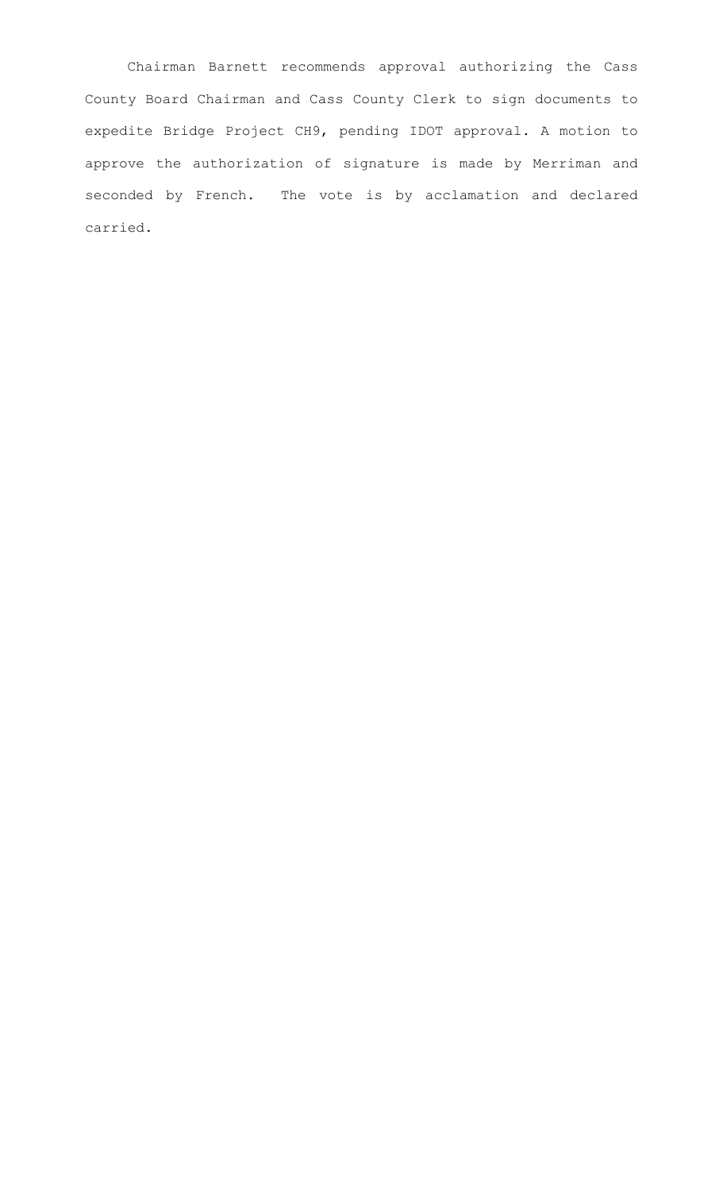Chairman Barnett recommends approval authorizing the Cass County Board Chairman and Cass County Clerk to sign documents to expedite Bridge Project CH9, pending IDOT approval. A motion to approve the authorization of signature is made by Merriman and seconded by French. The vote is by acclamation and declared carried.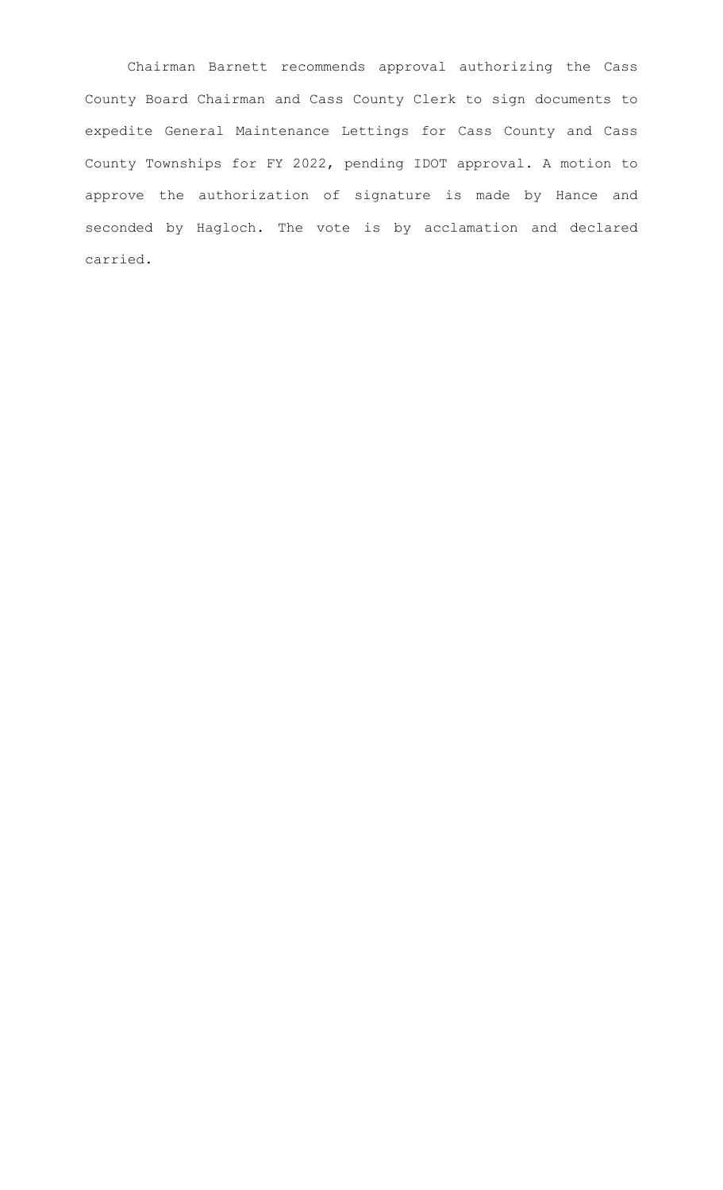Chairman Barnett recommends approval authorizing the Cass County Board Chairman and Cass County Clerk to sign documents to expedite General Maintenance Lettings for Cass County and Cass County Townships for FY 2022, pending IDOT approval. A motion to approve the authorization of signature is made by Hance and seconded by Hagloch. The vote is by acclamation and declared carried.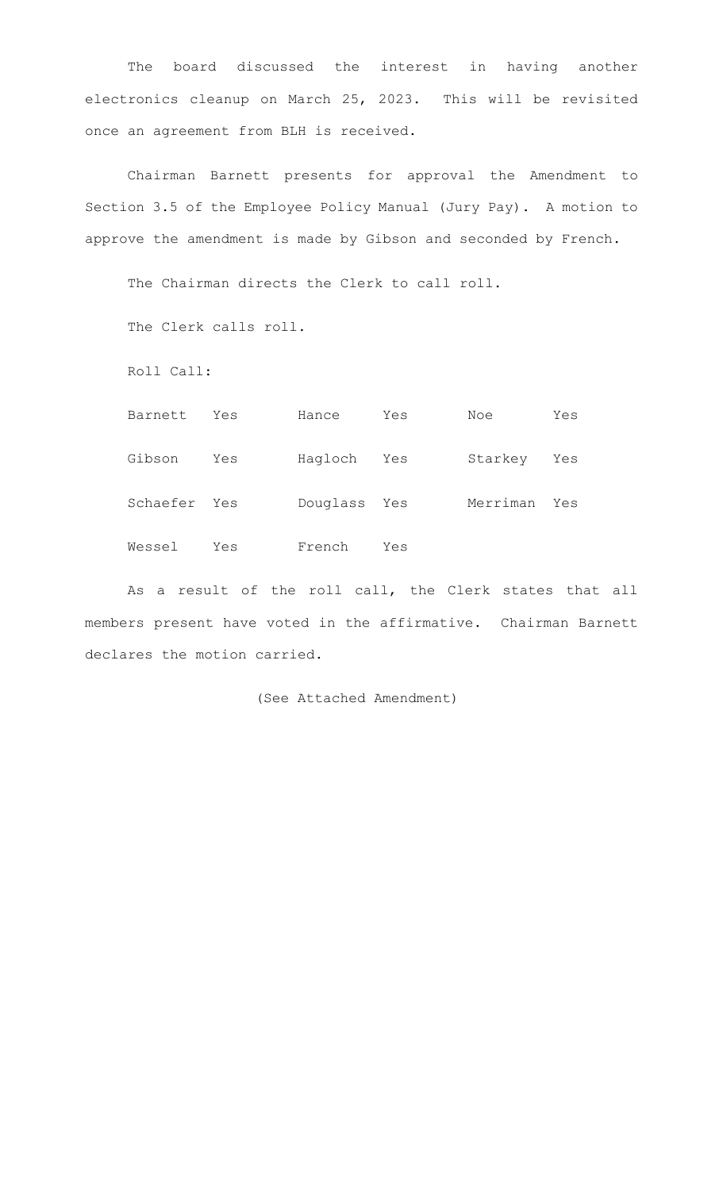The board discussed the interest in having another electronics cleanup on March 25, 2023. This will be revisited once an agreement from BLH is received.

Chairman Barnett presents for approval the Amendment to Section 3.5 of the Employee Policy Manual (Jury Pay). A motion to approve the amendment is made by Gibson and seconded by French.

The Chairman directs the Clerk to call roll.

The Clerk calls roll.

Roll Call:

| Barnett      | Yes | Hance        | Yes | Noe      | Yes |
|--------------|-----|--------------|-----|----------|-----|
| Gibson       | Yes | Hagloch Yes  |     | Starkey  | Yes |
| Schaefer Yes |     | Douglass Yes |     | Merriman | Yes |
| Wessel       | Yes | French       | Yes |          |     |

As a result of the roll call, the Clerk states that all members present have voted in the affirmative. Chairman Barnett declares the motion carried.

(See Attached Amendment)